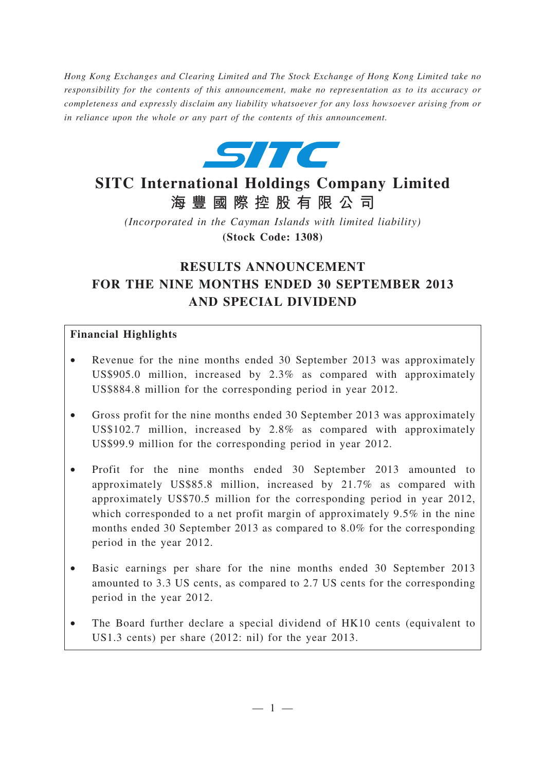*Hong Kong Exchanges and Clearing Limited and The Stock Exchange of Hong Kong Limited take no responsibility for the contents of this announcement, make no representation as to its accuracy or completeness and expressly disclaim any liability whatsoever for any loss howsoever arising from or in reliance upon the whole or any part of the contents of this announcement.*



# **SITC International Holdings Company Limited 海豐國際控股有限公司**

*(Incorporated in the Cayman Islands with limited liability)* **(Stock Code: 1308)**

# **RESULTS ANNOUNCEMENT FOR THE NINE MONTHS ENDED 30 SEPTEMBER 2013 AND SPECIAL DIVIDEND**

### **Financial Highlights**

- Revenue for the nine months ended 30 September 2013 was approximately US\$905.0 million, increased by 2.3% as compared with approximately US\$884.8 million for the corresponding period in year 2012.
- Gross profit for the nine months ended 30 September 2013 was approximately US\$102.7 million, increased by 2.8% as compared with approximately US\$99.9 million for the corresponding period in year 2012.
- Profit for the nine months ended 30 September 2013 amounted to approximately US\$85.8 million, increased by 21.7% as compared with approximately US\$70.5 million for the corresponding period in year 2012, which corresponded to a net profit margin of approximately 9.5% in the nine months ended 30 September 2013 as compared to 8.0% for the corresponding period in the year 2012.
- Basic earnings per share for the nine months ended 30 September 2013 amounted to 3.3 US cents, as compared to 2.7 US cents for the corresponding period in the year 2012.
- The Board further declare a special dividend of HK10 cents (equivalent to US1.3 cents) per share (2012: nil) for the year 2013.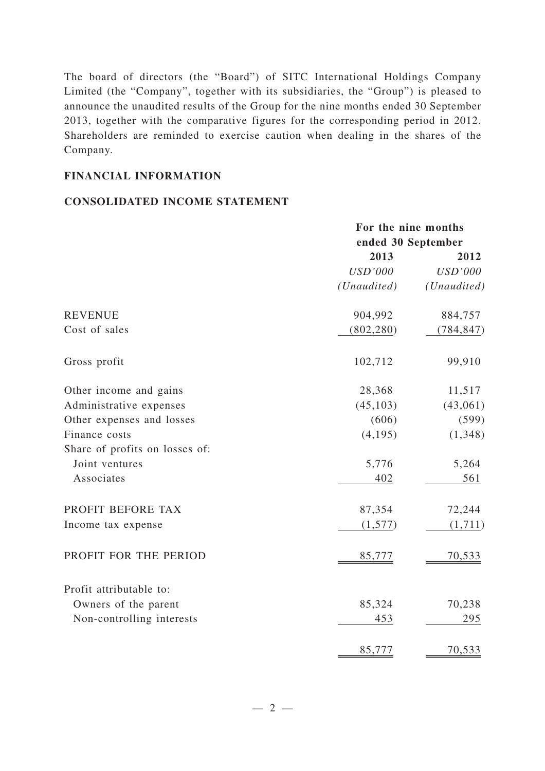The board of directors (the "Board") of SITC International Holdings Company Limited (the "Company", together with its subsidiaries, the "Group") is pleased to announce the unaudited results of the Group for the nine months ended 30 September 2013, together with the comparative figures for the corresponding period in 2012. Shareholders are reminded to exercise caution when dealing in the shares of the Company.

#### **FINANCIAL INFORMATION**

#### **CONSOLIDATED INCOME STATEMENT**

|                                | For the nine months<br>ended 30 September |                |
|--------------------------------|-------------------------------------------|----------------|
|                                |                                           |                |
|                                | 2013                                      | 2012           |
|                                | <b>USD'000</b>                            | <b>USD'000</b> |
|                                | (Unaudited)                               | (Unaudited)    |
| <b>REVENUE</b>                 | 904,992                                   | 884,757        |
| Cost of sales                  | (802, 280)                                | (784, 847)     |
| Gross profit                   | 102,712                                   | 99,910         |
| Other income and gains         | 28,368                                    | 11,517         |
| Administrative expenses        | (45, 103)                                 | (43,061)       |
| Other expenses and losses      | (606)                                     | (599)          |
| Finance costs                  | (4, 195)                                  | (1,348)        |
| Share of profits on losses of: |                                           |                |
| Joint ventures                 | 5,776                                     | 5,264          |
| Associates                     | 402                                       | 561            |
| PROFIT BEFORE TAX              | 87,354                                    | 72,244         |
| Income tax expense             | (1, 577)                                  | (1,711)        |
| PROFIT FOR THE PERIOD          | 85,777                                    | 70,533         |
| Profit attributable to:        |                                           |                |
| Owners of the parent           | 85,324                                    | 70,238         |
| Non-controlling interests      | 453                                       | 295            |
|                                | 85,777                                    | 70,533         |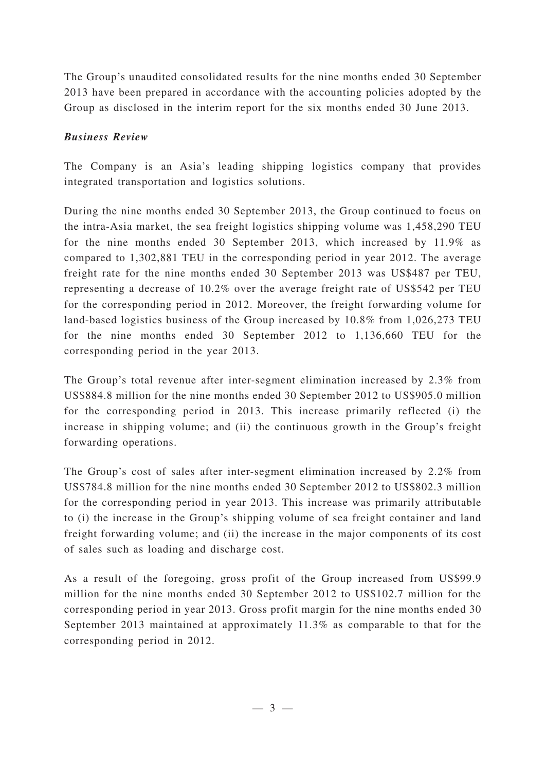The Group's unaudited consolidated results for the nine months ended 30 September 2013 have been prepared in accordance with the accounting policies adopted by the Group as disclosed in the interim report for the six months ended 30 June 2013.

### *Business Review*

The Company is an Asia's leading shipping logistics company that provides integrated transportation and logistics solutions.

During the nine months ended 30 September 2013, the Group continued to focus on the intra-Asia market, the sea freight logistics shipping volume was 1,458,290 TEU for the nine months ended 30 September 2013, which increased by 11.9% as compared to 1,302,881 TEU in the corresponding period in year 2012. The average freight rate for the nine months ended 30 September 2013 was US\$487 per TEU, representing a decrease of 10.2% over the average freight rate of US\$542 per TEU for the corresponding period in 2012. Moreover, the freight forwarding volume for land-based logistics business of the Group increased by 10.8% from 1,026,273 TEU for the nine months ended 30 September 2012 to 1,136,660 TEU for the corresponding period in the year 2013.

The Group's total revenue after inter-segment elimination increased by 2.3% from US\$884.8 million for the nine months ended 30 September 2012 to US\$905.0 million for the corresponding period in 2013. This increase primarily reflected (i) the increase in shipping volume; and (ii) the continuous growth in the Group's freight forwarding operations.

The Group's cost of sales after inter-segment elimination increased by 2.2% from US\$784.8 million for the nine months ended 30 September 2012 to US\$802.3 million for the corresponding period in year 2013. This increase was primarily attributable to (i) the increase in the Group's shipping volume of sea freight container and land freight forwarding volume; and (ii) the increase in the major components of its cost of sales such as loading and discharge cost.

As a result of the foregoing, gross profit of the Group increased from US\$99.9 million for the nine months ended 30 September 2012 to US\$102.7 million for the corresponding period in year 2013. Gross profit margin for the nine months ended 30 September 2013 maintained at approximately 11.3% as comparable to that for the corresponding period in 2012.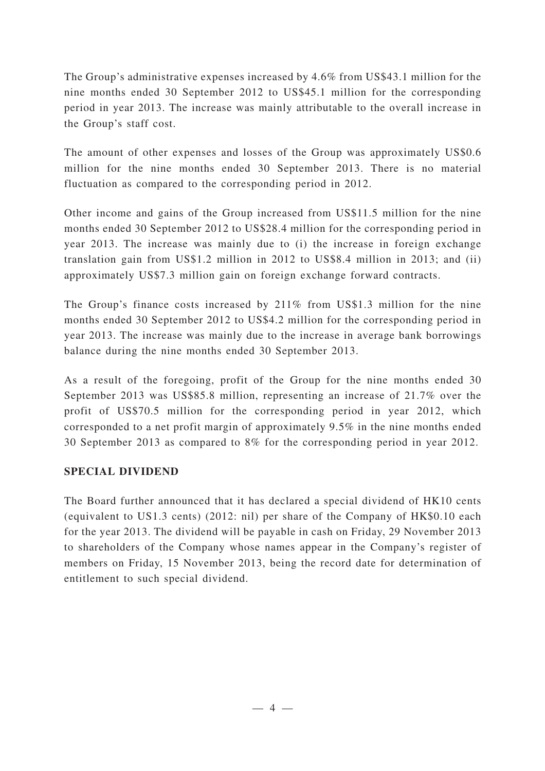The Group's administrative expenses increased by 4.6% from US\$43.1 million for the nine months ended 30 September 2012 to US\$45.1 million for the corresponding period in year 2013. The increase was mainly attributable to the overall increase in the Group's staff cost.

The amount of other expenses and losses of the Group was approximately US\$0.6 million for the nine months ended 30 September 2013. There is no material fluctuation as compared to the corresponding period in 2012.

Other income and gains of the Group increased from US\$11.5 million for the nine months ended 30 September 2012 to US\$28.4 million for the corresponding period in year 2013. The increase was mainly due to (i) the increase in foreign exchange translation gain from US\$1.2 million in 2012 to US\$8.4 million in 2013; and (ii) approximately US\$7.3 million gain on foreign exchange forward contracts.

The Group's finance costs increased by 211% from US\$1.3 million for the nine months ended 30 September 2012 to US\$4.2 million for the corresponding period in year 2013. The increase was mainly due to the increase in average bank borrowings balance during the nine months ended 30 September 2013.

As a result of the foregoing, profit of the Group for the nine months ended 30 September 2013 was US\$85.8 million, representing an increase of 21.7% over the profit of US\$70.5 million for the corresponding period in year 2012, which corresponded to a net profit margin of approximately 9.5% in the nine months ended 30 September 2013 as compared to 8% for the corresponding period in year 2012.

### **SPECIAL DIVIDEND**

The Board further announced that it has declared a special dividend of HK10 cents (equivalent to US1.3 cents) (2012: nil) per share of the Company of HK\$0.10 each for the year 2013. The dividend will be payable in cash on Friday, 29 November 2013 to shareholders of the Company whose names appear in the Company's register of members on Friday, 15 November 2013, being the record date for determination of entitlement to such special dividend.